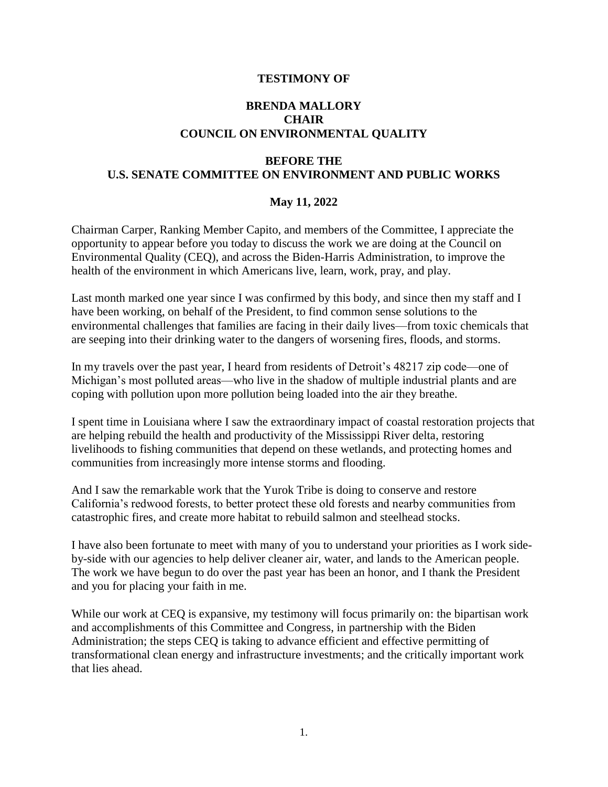### **TESTIMONY OF**

## **BRENDA MALLORY CHAIR COUNCIL ON ENVIRONMENTAL QUALITY**

# **BEFORE THE U.S. SENATE COMMITTEE ON ENVIRONMENT AND PUBLIC WORKS**

### **May 11, 2022**

Chairman Carper, Ranking Member Capito, and members of the Committee, I appreciate the opportunity to appear before you today to discuss the work we are doing at the Council on Environmental Quality (CEQ), and across the Biden-Harris Administration, to improve the health of the environment in which Americans live, learn, work, pray, and play.

Last month marked one year since I was confirmed by this body, and since then my staff and I have been working, on behalf of the President, to find common sense solutions to the environmental challenges that families are facing in their daily lives—from toxic chemicals that are seeping into their drinking water to the dangers of worsening fires, floods, and storms.

In my travels over the past year, I heard from residents of Detroit's 48217 zip code—one of Michigan's most polluted areas—who live in the shadow of multiple industrial plants and are coping with pollution upon more pollution being loaded into the air they breathe.

I spent time in Louisiana where I saw the extraordinary impact of coastal restoration projects that are helping rebuild the health and productivity of the Mississippi River delta, restoring livelihoods to fishing communities that depend on these wetlands, and protecting homes and communities from increasingly more intense storms and flooding.

And I saw the remarkable work that the Yurok Tribe is doing to conserve and restore California's redwood forests, to better protect these old forests and nearby communities from catastrophic fires, and create more habitat to rebuild salmon and steelhead stocks.

I have also been fortunate to meet with many of you to understand your priorities as I work sideby-side with our agencies to help deliver cleaner air, water, and lands to the American people. The work we have begun to do over the past year has been an honor, and I thank the President and you for placing your faith in me.

While our work at CEQ is expansive, my testimony will focus primarily on: the bipartisan work and accomplishments of this Committee and Congress, in partnership with the Biden Administration; the steps CEQ is taking to advance efficient and effective permitting of transformational clean energy and infrastructure investments; and the critically important work that lies ahead.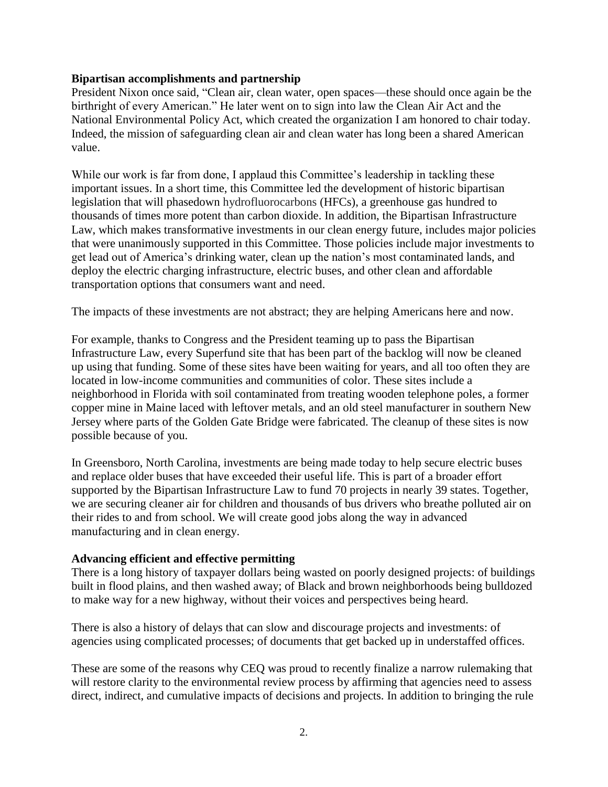#### **Bipartisan accomplishments and partnership**

President Nixon once said, "Clean air, clean water, open spaces—these should once again be the birthright of every American." He later went on to sign into law the Clean Air Act and the National Environmental Policy Act, which created the organization I am honored to chair today. Indeed, the mission of safeguarding clean air and clean water has long been a shared American value.

While our work is far from done, I applaud this Committee's leadership in tackling these important issues. In a short time, this Committee led the development of historic bipartisan legislation that will phasedown hydrofluorocarbons (HFCs), a greenhouse gas hundred to thousands of times more potent than carbon dioxide. In addition, the Bipartisan Infrastructure Law, which makes transformative investments in our clean energy future, includes major policies that were unanimously supported in this Committee. Those policies include major investments to get lead out of America's drinking water, clean up the nation's most contaminated lands, and deploy the electric charging infrastructure, electric buses, and other clean and affordable transportation options that consumers want and need.

The impacts of these investments are not abstract; they are helping Americans here and now.

For example, thanks to Congress and the President teaming up to pass the Bipartisan Infrastructure Law, every Superfund site that has been part of the backlog will now be cleaned up using that funding. Some of these sites have been waiting for years, and all too often they are located in low-income communities and communities of color. These sites include a neighborhood in Florida with soil contaminated from treating wooden telephone poles, a former copper mine in Maine laced with leftover metals, and an old steel manufacturer in southern New Jersey where parts of the Golden Gate Bridge were fabricated. The cleanup of these sites is now possible because of you.

In Greensboro, North Carolina, investments are being made today to help secure electric buses and replace older buses that have exceeded their useful life. This is part of a broader effort supported by the Bipartisan Infrastructure Law to fund 70 projects in nearly 39 states. Together, we are securing cleaner air for children and thousands of bus drivers who breathe polluted air on their rides to and from school. We will create good jobs along the way in advanced manufacturing and in clean energy.

### **Advancing efficient and effective permitting**

There is a long history of taxpayer dollars being wasted on poorly designed projects: of buildings built in flood plains, and then washed away; of Black and brown neighborhoods being bulldozed to make way for a new highway, without their voices and perspectives being heard.

There is also a history of delays that can slow and discourage projects and investments: of agencies using complicated processes; of documents that get backed up in understaffed offices.

These are some of the reasons why CEQ was proud to recently finalize a narrow rulemaking that will restore clarity to the environmental review process by affirming that agencies need to assess direct, indirect, and cumulative impacts of decisions and projects. In addition to bringing the rule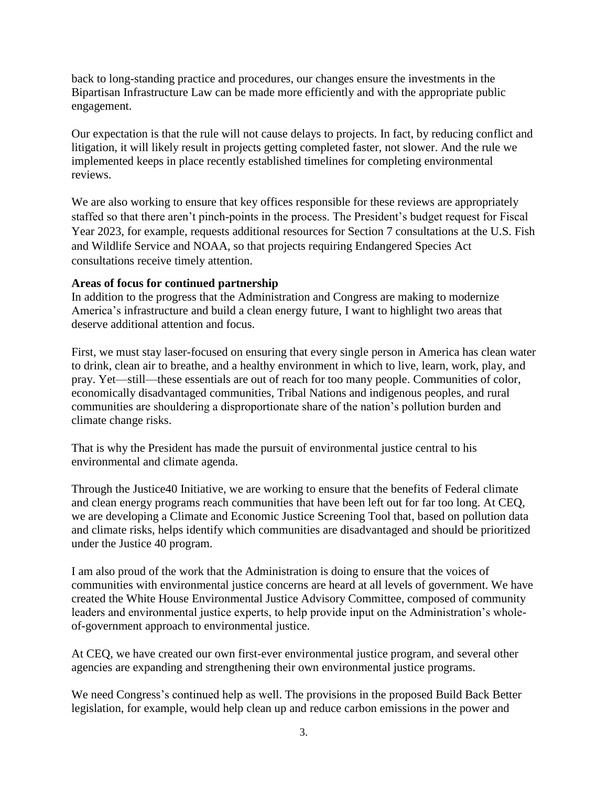back to long-standing practice and procedures, our changes ensure the investments in the Bipartisan Infrastructure Law can be made more efficiently and with the appropriate public engagement.

Our expectation is that the rule will not cause delays to projects. In fact, by reducing conflict and litigation, it will likely result in projects getting completed faster, not slower. And the rule we implemented keeps in place recently established timelines for completing environmental reviews.

We are also working to ensure that key offices responsible for these reviews are appropriately staffed so that there aren't pinch-points in the process. The President's budget request for Fiscal Year 2023, for example, requests additional resources for Section 7 consultations at the U.S. Fish and Wildlife Service and NOAA, so that projects requiring Endangered Species Act consultations receive timely attention.

# **Areas of focus for continued partnership**

In addition to the progress that the Administration and Congress are making to modernize America's infrastructure and build a clean energy future, I want to highlight two areas that deserve additional attention and focus.

First, we must stay laser-focused on ensuring that every single person in America has clean water to drink, clean air to breathe, and a healthy environment in which to live, learn, work, play, and pray. Yet—still—these essentials are out of reach for too many people. Communities of color, economically disadvantaged communities, Tribal Nations and indigenous peoples, and rural communities are shouldering a disproportionate share of the nation's pollution burden and climate change risks.

That is why the President has made the pursuit of environmental justice central to his environmental and climate agenda.

Through the Justice40 Initiative, we are working to ensure that the benefits of Federal climate and clean energy programs reach communities that have been left out for far too long. At CEQ, we are developing a Climate and Economic Justice Screening Tool that, based on pollution data and climate risks, helps identify which communities are disadvantaged and should be prioritized under the Justice 40 program.

I am also proud of the work that the Administration is doing to ensure that the voices of communities with environmental justice concerns are heard at all levels of government. We have created the White House Environmental Justice Advisory Committee, composed of community leaders and environmental justice experts, to help provide input on the Administration's wholeof-government approach to environmental justice.

At CEQ, we have created our own first-ever environmental justice program, and several other agencies are expanding and strengthening their own environmental justice programs.

We need Congress's continued help as well. The provisions in the proposed Build Back Better legislation, for example, would help clean up and reduce carbon emissions in the power and